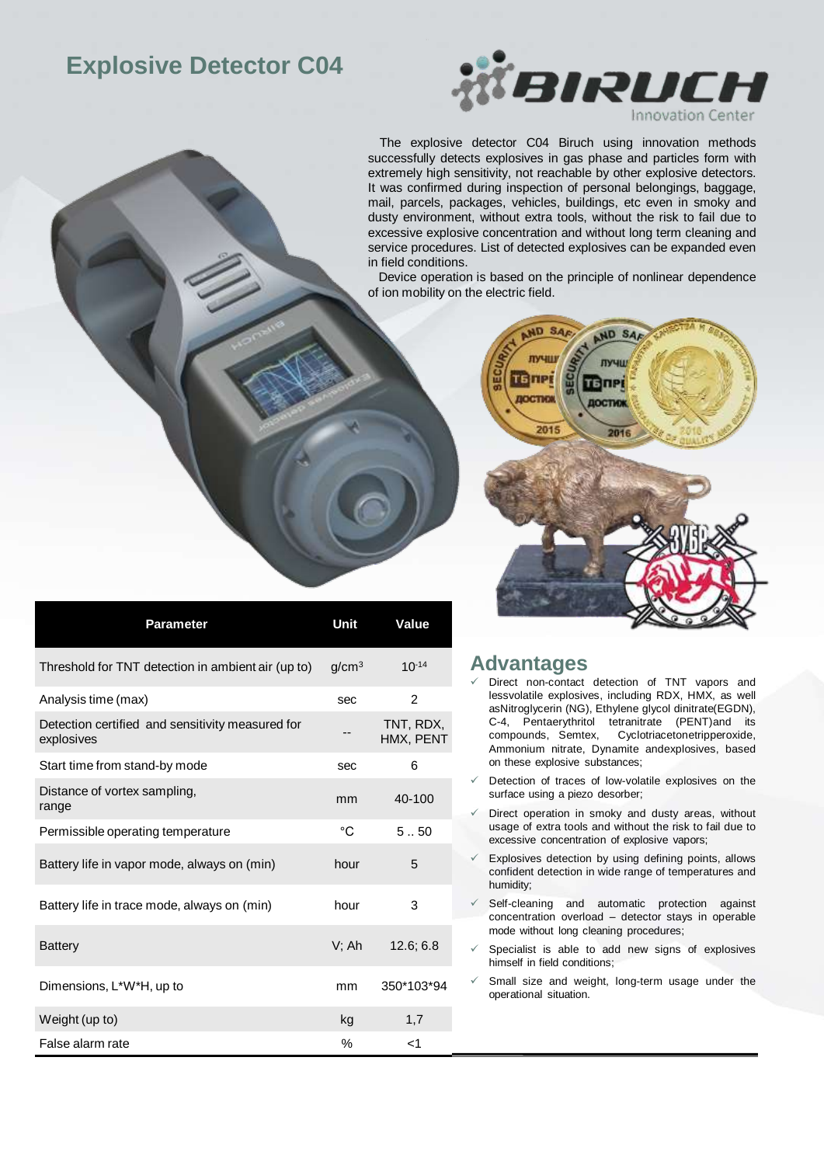## **Explosive Detector C04**



The explosive detector C04 Biruch using innovation methods successfully detects explosives in gas phase and particles form with extremely high sensitivity, not reachable by other explosive detectors. It was confirmed during inspection of personal belongings, baggage, mail, parcels, packages, vehicles, buildings, etc even in smoky and dusty environment, without extra tools, without the risk to fail due to excessive explosive concentration and without long term cleaning and service procedures. List of detected explosives can be expanded even in field conditions.

Device operation is based on the principle of nonlinear dependence of ion mobility on the electric field.



## **Advantages**

- Direct non-contact detection of TNT vapors and lessvolatile explosives, including RDX, HMX, as well asNitroglycerin (NG), Ethylene glycol dinitrate(EGDN), C-4, Pentaerythritol tetranitrate (PENT)and its compounds, Semtex, Cyclotriacetonetripperoxide, Ammonium nitrate, Dynamite andexplosives, based on these explosive substances;
- Detection of traces of low-volatile explosives on the surface using a piezo desorber;
- $\checkmark$  Direct operation in smoky and dusty areas, without usage of extra tools and without the risk to fail due to excessive concentration of explosive vapors;
- Explosives detection by using defining points, allows confident detection in wide range of temperatures and humidity;
- $\checkmark$  Self-cleaning and automatic protection against concentration overload – detector stays in operable mode without long cleaning procedures;
- Specialist is able to add new signs of explosives himself in field conditions;
- Small size and weight, long-term usage under the operational situation.

| Parameter                                                      | Unit              | Value                  |
|----------------------------------------------------------------|-------------------|------------------------|
| Threshold for TNT detection in ambient air (up to)             | g/cm <sup>3</sup> | $10^{-14}$             |
| Analysis time (max)                                            | sec               | $\overline{2}$         |
| Detection certified and sensitivity measured for<br>explosives |                   | TNT, RDX,<br>HMX, PENT |
| Start time from stand-by mode                                  | sec               | 6                      |
| Distance of vortex sampling,<br>range                          | mm                | 40-100                 |
| Permissible operating temperature                              | °C                | 550                    |
| Battery life in vapor mode, always on (min)                    | hour              | 5                      |
| Battery life in trace mode, always on (min)                    | hour              | 3                      |
| <b>Battery</b>                                                 | V: Ah             | 12.6; 6.8              |
| Dimensions, L*W*H, up to                                       | mm                | 350*103*94             |
| Weight (up to)                                                 | kg                | 1,7                    |
| False alarm rate                                               | %                 | <1                     |